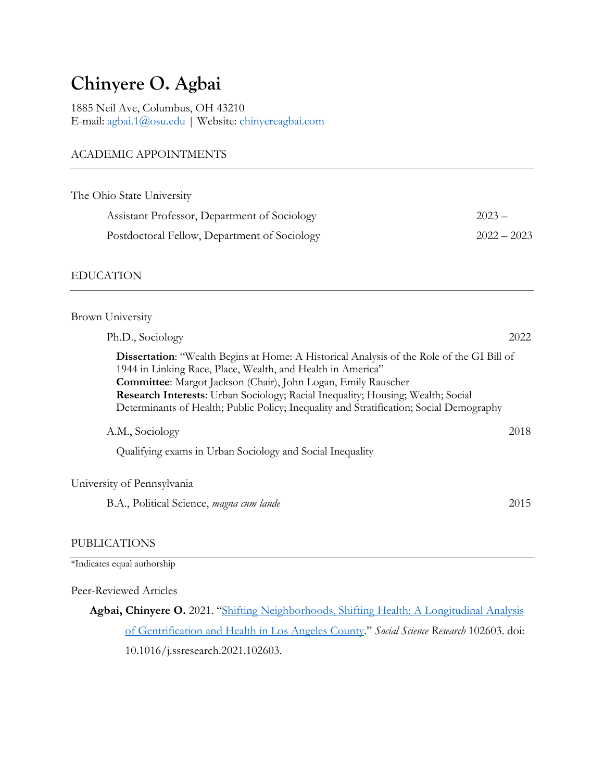# **Chinyere O. Agbai**

1885 Neil Ave, Columbus, OH 43210 E-mail: agbai.1@osu.edu | Website: chinyereagbai.com

## ACADEMIC APPOINTMENTS

| The Ohio State University                    |               |
|----------------------------------------------|---------------|
| Assistant Professor, Department of Sociology | $2023 -$      |
| Postdoctoral Fellow, Department of Sociology | $2022 - 2023$ |
|                                              |               |

## EDUCATION

| <b>Brown University</b>                                                                                                                                                                                                                                                                                                                                                                                               |      |
|-----------------------------------------------------------------------------------------------------------------------------------------------------------------------------------------------------------------------------------------------------------------------------------------------------------------------------------------------------------------------------------------------------------------------|------|
| Ph.D., Sociology                                                                                                                                                                                                                                                                                                                                                                                                      | 2022 |
| <b>Dissertation:</b> "Wealth Begins at Home: A Historical Analysis of the Role of the GI Bill of<br>1944 in Linking Race, Place, Wealth, and Health in America"<br><b>Committee:</b> Margot Jackson (Chair), John Logan, Emily Rauscher<br>Research Interests: Urban Sociology; Racial Inequality; Housing; Wealth; Social<br>Determinants of Health; Public Policy; Inequality and Stratification; Social Demography |      |
| A.M., Sociology                                                                                                                                                                                                                                                                                                                                                                                                       | 2018 |
| Qualifying exams in Urban Sociology and Social Inequality                                                                                                                                                                                                                                                                                                                                                             |      |
| University of Pennsylvania                                                                                                                                                                                                                                                                                                                                                                                            |      |
| B.A., Political Science, magna cum laude                                                                                                                                                                                                                                                                                                                                                                              | 2015 |

## PUBLICATIONS

\*Indicates equal authorship

## Peer-Reviewed Articles

**Agbai, Chinyere O.** 2021. "Shifting Neighborhoods, Shifting Health: A Longitudinal Analysis of Gentrification and Health in Los Angeles County." *Social Science Research* 102603. doi: 10.1016/j.ssresearch.2021.102603.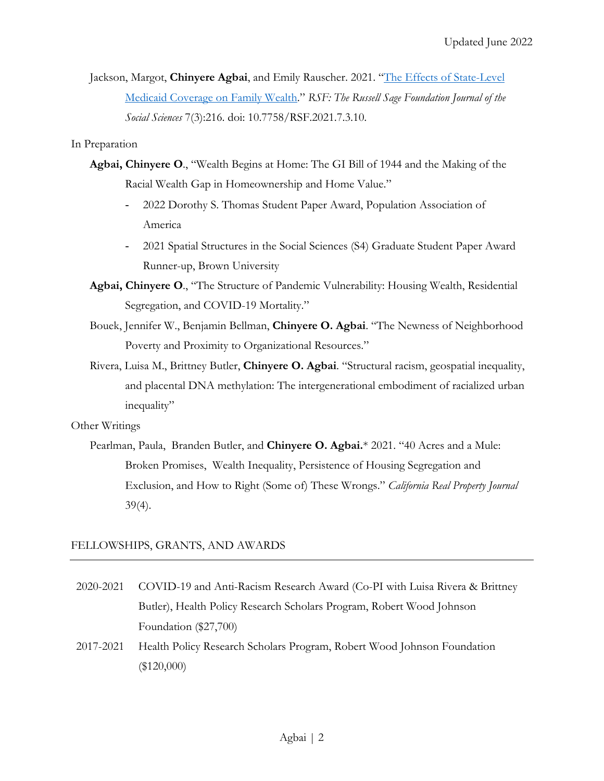Jackson, Margot, **Chinyere Agbai**, and Emily Rauscher. 2021. "The Effects of State-Level Medicaid Coverage on Family Wealth." *RSF: The Russell Sage Foundation Journal of the Social Sciences* 7(3):216. doi: 10.7758/RSF.2021.7.3.10.

In Preparation

- **Agbai, Chinyere O**., "Wealth Begins at Home: The GI Bill of 1944 and the Making of the Racial Wealth Gap in Homeownership and Home Value."
	- 2022 Dorothy S. Thomas Student Paper Award, Population Association of America
	- 2021 Spatial Structures in the Social Sciences (S4) Graduate Student Paper Award Runner-up, Brown University
- **Agbai, Chinyere O**., "The Structure of Pandemic Vulnerability: Housing Wealth, Residential Segregation, and COVID-19 Mortality."
- Bouek, Jennifer W., Benjamin Bellman, **Chinyere O. Agbai**. "The Newness of Neighborhood Poverty and Proximity to Organizational Resources."
- Rivera, Luisa M., Brittney Butler, **Chinyere O. Agbai**. "Structural racism, geospatial inequality, and placental DNA methylation: The intergenerational embodiment of racialized urban inequality"

## Other Writings

Pearlman, Paula, Branden Butler, and **Chinyere O. Agbai.**\* 2021. "40 Acres and a Mule: Broken Promises, Wealth Inequality, Persistence of Housing Segregation and Exclusion, and How to Right (Some of) These Wrongs." *California Real Property Journal* 39(4).

## FELLOWSHIPS, GRANTS, AND AWARDS

- 2020-2021 COVID-19 and Anti-Racism Research Award (Co-PI with Luisa Rivera & Brittney Butler), Health Policy Research Scholars Program, Robert Wood Johnson Foundation (\$27,700)
- 2017-2021 Health Policy Research Scholars Program, Robert Wood Johnson Foundation (\$120,000)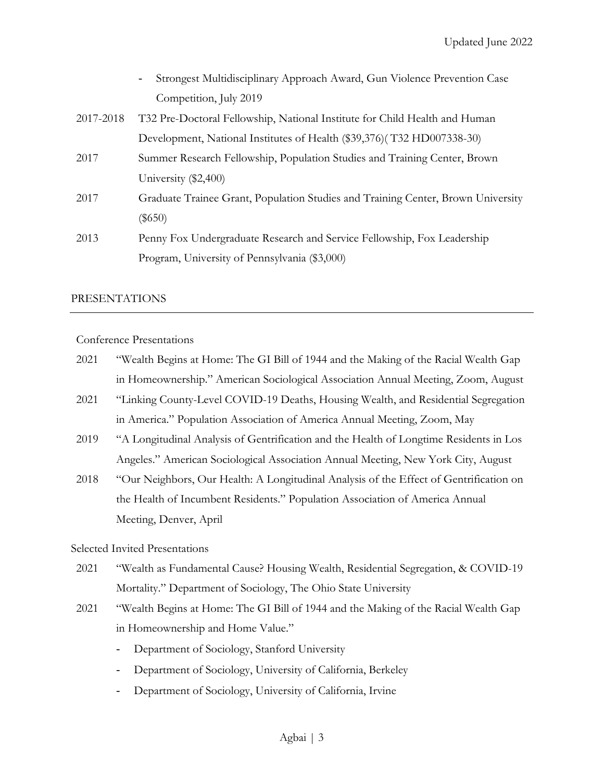|           | Strongest Multidisciplinary Approach Award, Gun Violence Prevention Case         |
|-----------|----------------------------------------------------------------------------------|
|           | Competition, July 2019                                                           |
| 2017-2018 | T32 Pre-Doctoral Fellowship, National Institute for Child Health and Human       |
|           | Development, National Institutes of Health (\$39,376)(T32 HD007338-30)           |
| 2017      | Summer Research Fellowship, Population Studies and Training Center, Brown        |
|           | University (\$2,400)                                                             |
| 2017      | Graduate Trainee Grant, Population Studies and Training Center, Brown University |
|           | $(\$650)$                                                                        |
| 2013      | Penny Fox Undergraduate Research and Service Fellowship, Fox Leadership          |
|           | Program, University of Pennsylvania (\$3,000)                                    |

#### PRESENTATIONS

Conference Presentations

- 2021 "Wealth Begins at Home: The GI Bill of 1944 and the Making of the Racial Wealth Gap in Homeownership." American Sociological Association Annual Meeting, Zoom, August
- 2021 "Linking County-Level COVID-19 Deaths, Housing Wealth, and Residential Segregation in America." Population Association of America Annual Meeting, Zoom, May
- 2019 "A Longitudinal Analysis of Gentrification and the Health of Longtime Residents in Los Angeles." American Sociological Association Annual Meeting, New York City, August
- 2018 "Our Neighbors, Our Health: A Longitudinal Analysis of the Effect of Gentrification on the Health of Incumbent Residents." Population Association of America Annual Meeting, Denver, April

## Selected Invited Presentations

- 2021 "Wealth as Fundamental Cause? Housing Wealth, Residential Segregation, & COVID-19 Mortality." Department of Sociology, The Ohio State University
- 2021 "Wealth Begins at Home: The GI Bill of 1944 and the Making of the Racial Wealth Gap in Homeownership and Home Value."
	- Department of Sociology, Stanford University
	- Department of Sociology, University of California, Berkeley
	- Department of Sociology, University of California, Irvine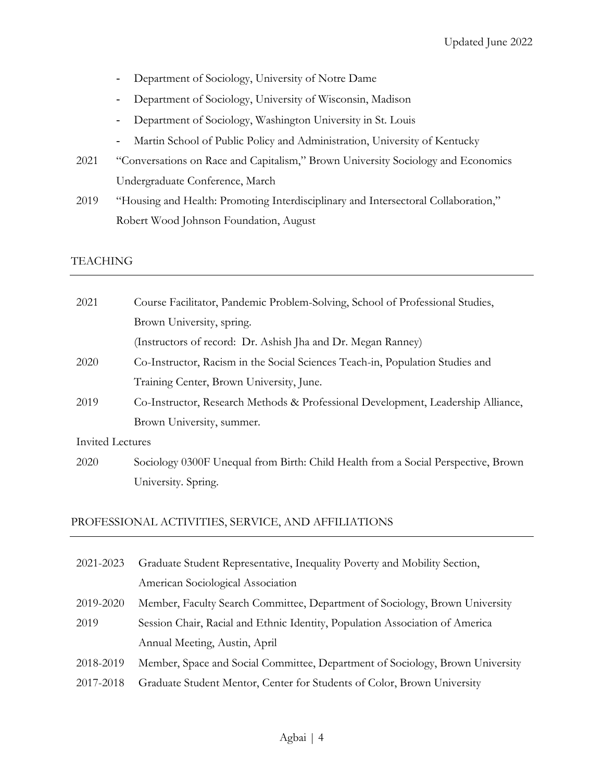- Department of Sociology, University of Notre Dame
- Department of Sociology, University of Wisconsin, Madison
- Department of Sociology, Washington University in St. Louis
- Martin School of Public Policy and Administration, University of Kentucky
- 2021 "Conversations on Race and Capitalism," Brown University Sociology and Economics Undergraduate Conference, March
- 2019 "Housing and Health: Promoting Interdisciplinary and Intersectoral Collaboration," Robert Wood Johnson Foundation, August

## TEACHING

| 2021             | Course Facilitator, Pandemic Problem-Solving, School of Professional Studies,     |
|------------------|-----------------------------------------------------------------------------------|
|                  | Brown University, spring.                                                         |
|                  | (Instructors of record: Dr. Ashish Jha and Dr. Megan Ranney)                      |
| 2020             | Co-Instructor, Racism in the Social Sciences Teach-in, Population Studies and     |
|                  | Training Center, Brown University, June.                                          |
| 2019             | Co-Instructor, Research Methods & Professional Development, Leadership Alliance,  |
|                  | Brown University, summer.                                                         |
| Invited Lectures |                                                                                   |
| 2020             | Sociology 0300F Unequal from Birth: Child Health from a Social Perspective, Brown |
|                  | University. Spring.                                                               |

## PROFESSIONAL ACTIVITIES, SERVICE, AND AFFILIATIONS

- 2021-2023 Graduate Student Representative, Inequality Poverty and Mobility Section, American Sociological Association
- 2019-2020 Member, Faculty Search Committee, Department of Sociology, Brown University
- 2019 Session Chair, Racial and Ethnic Identity, Population Association of America Annual Meeting, Austin, April
- 2018-2019 Member, Space and Social Committee, Department of Sociology, Brown University
- 2017-2018 Graduate Student Mentor, Center for Students of Color, Brown University